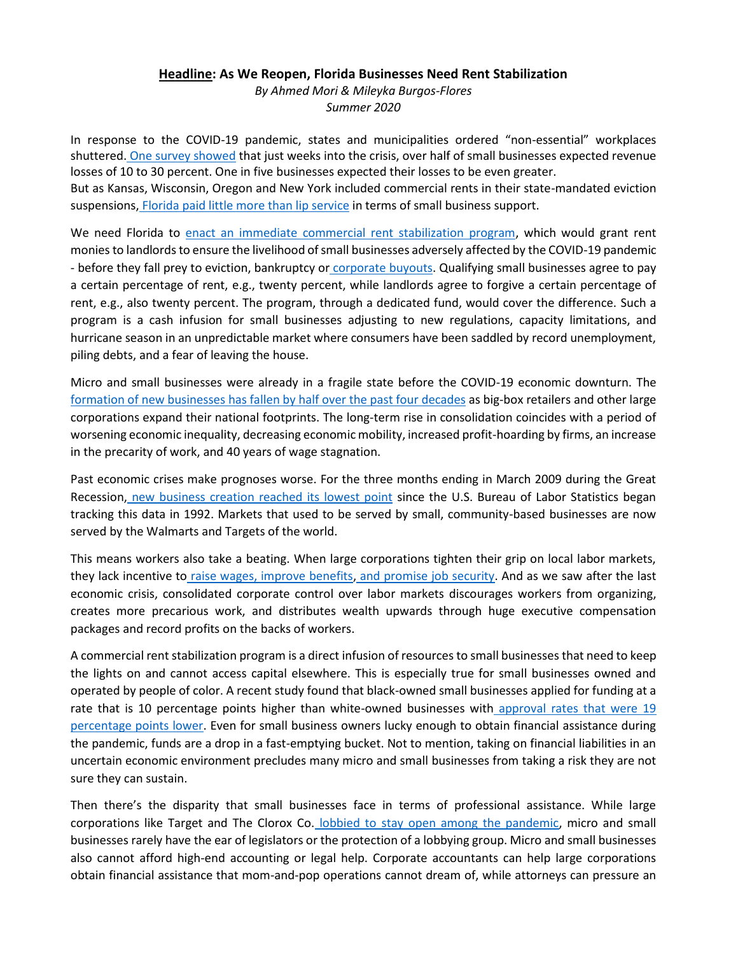## **Headline: As We Reopen, Florida Businesses Need Rent Stabilization**

*By Ahmed Mori & Mileyka Burgos-Flores Summer 2020*

In response to the COVID-19 pandemic, states and municipalities ordered "non-essential" workplaces shuttered. [One survey showed](https://www.clevelandfed.org/en/newsroom-and-events/press-releases/2017/pr-20171108-atlanta-and-cleveland-feds.aspx) that just weeks into the crisis, over half of small businesses expected revenue losses of 10 to 30 percent. One in five businesses expected their losses to be even greater.

But as Kansas, Wisconsin, Oregon and New York included commercial rents in their state-mandated eviction suspensions, [Florida paid little more than lip service](https://www.tampabay.com/news/business/2020/04/08/home-renters-cant-get-evicted-in-florida-but-small-businesses-can/) in terms of small business support.

We need Florida to [enact an immediate commercial rent stabilization program,](https://actionnetwork.org/petitions/8651642e80b770495ec0ab90b2387c0ee4a37863?hash=867c75cb0fc13addd3b80c22e235ce4d) which would grant rent monies to landlords to ensure the livelihood of small businesses adversely affected by the COVID-19 pandemic - before they fall prey to eviction, bankruptcy or [corporate buyouts.](https://www.businessinsider.com/corporations-will-buy-up-small-businesses-after-coronavirus-pandemic-2020-4) Qualifying small businesses agree to pay a certain percentage of rent, e.g., twenty percent, while landlords agree to forgive a certain percentage of rent, e.g., also twenty percent. The program, through a dedicated fund, would cover the difference. Such a program is a cash infusion for small businesses adjusting to new regulations, capacity limitations, and hurricane season in an unpredictable market where consumers have been saddled by record unemployment, piling debts, and a fear of leaving the house.

Micro and small businesses were already in a fragile state before the COVID-19 economic downturn. Th[e](https://eig.org/wp-content/uploads/2017/07/Dynamism-in-Retreat-A.pdf) [formation of new businesses has fallen by half over the past four decades](https://eig.org/wp-content/uploads/2017/07/Dynamism-in-Retreat-A.pdf) as big-box retailers and other large corporations expand their national footprints. The long-term rise in consolidation coincides with a period of worsening economic inequality, decreasing economic mobility, increased profit-hoarding by firms, an increase in the precarity of work, and 40 years of wage stagnation.

Past economic crises make prognoses worse. For the three months ending in March 2009 during the Great Recession, [new business creation reached its lowest point](https://www.bls.gov/spotlight/2012/recession/) since the U.S. Bureau of Labor Statistics began tracking this data in 1992. Markets that used to be served by small, community-based businesses are now served by the Walmarts and Targets of the world.

This means workers also take a beating. When large corporations tighten their grip on local labor markets, they lack incentive to [raise wages, improve benefits,](https://rooseveltinstitute.org/how-widespread-labor-monopsony-some-new-results-suggest-its-pervasive/) [and promise job security.](https://www.vox.com/the-big-idea/2018/4/6/17204808/wages-employers-workers-monopsony-growth-stagnation-inequality) And as we saw after the last economic crisis, consolidated corporate control over labor markets discourages workers from organizing, creates more precarious work, and distributes wealth upwards through huge executive compensation packages and record profits on the backs of workers.

A commercial rent stabilization program is a direct infusion of resources to small businesses that need to keep the lights on and cannot access capital elsewhere. This is especially true for small businesses owned and operated by people of color. A recent study found that black-owned small businesses applied for funding at a rate that is 10 percentage points higher than white-owned businesses with approval rates that were 19 [percentage points lower.](https://www.clevelandfed.org/en/newsroom-and-events/press-releases/2017/pr-20171108-atlanta-and-cleveland-feds.aspx) Even for small business owners lucky enough to obtain financial assistance during the pandemic, funds are a drop in a fast-emptying bucket. Not to mention, taking on financial liabilities in an uncertain economic environment precludes many micro and small businesses from taking a risk they are not sure they can sustain.

Then there's the disparity that small businesses face in terms of professional assistance. While large corporations like Target and The Clorox Co. [lobbied to stay open among the pandemic,](https://www.ocregister.com/2020/03/18/target-lobbies-to-stay-open-amid-coronavirus-shutdown/) micro and small businesses rarely have the ear of legislators or the protection of a lobbying group. Micro and small businesses also cannot afford high-end accounting or legal help. Corporate accountants can help large corporations obtain financial assistance that mom-and-pop operations cannot dream of, while attorneys can pressure an